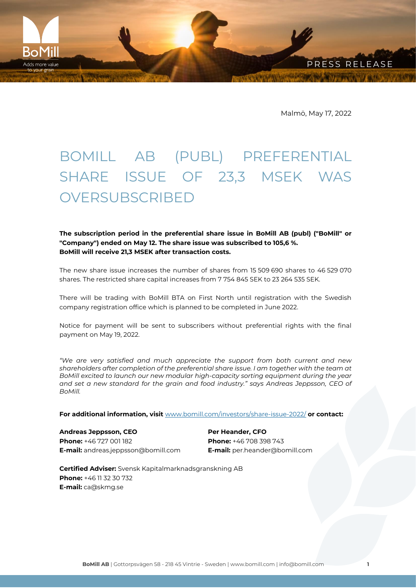Malmö, May 17, 2022

PRESS RELEASE

## BOMILL AB (PUBL) PREFERENTIAL SHARE ISSUE OF 23,3 MSEK WAS **OVERSUBSCRIBED**

**The subscription period in the preferential share issue in BoMill AB (publ) ("BoMill" or "Company") ended on May 12. The share issue was subscribed to 105,6 %. BoMill will receive 21,3 MSEK after transaction costs.**

The new share issue increases the number of shares from 15 509 690 shares to 46 529 070 shares. The restricted share capital increases from 7 754 845 SEK to 23 264 535 SEK.

There will be trading with BoMill BTA on First North until registration with the Swedish company registration office which is planned to be completed in June 2022.

Notice for payment will be sent to subscribers without preferential rights with the final payment on May 19, 2022.

*"We are very satisfied and much appreciate the support from both current and new shareholders after completion of the preferential share issue. I am together with the team at BoMill excited to launch our new modular high-capacity sorting equipment during the year and set a new standard for the grain and food industry." says Andreas Jeppsson, CEO of BoMill.*

**For additional information, visit** [www.bomill.com/investors/share-issue-2022/](http://www.bomill.com/investors/share-issue-2022/) **or contact:**

**Andreas Jeppsson, CEO Phone:** +46 727 001 182 **E-mail:** andreas.jeppsson@bomill.com

BoMil dds more value

> **Per Heander, CFO Phone:** +46 708 398 743 **E-mail:** per.heander@bomill.com

**Certified Adviser:** Svensk Kapitalmarknadsgranskning AB **Phone:** +46 11 32 30 732 **E-mail:** ca@skmg.se